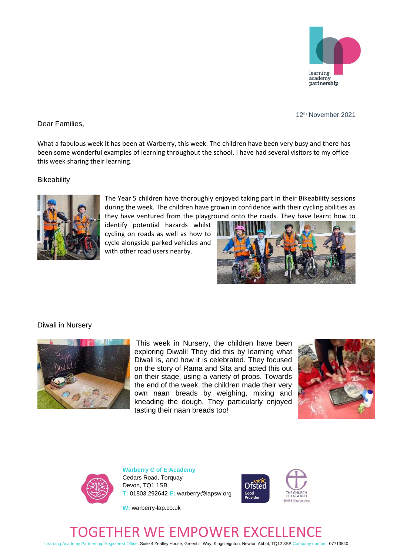

12th November 2021

Dear Families,

What a fabulous week it has been at Warberry, this week. The children have been very busy and there has been some wonderful examples of learning throughout the school. I have had several visitors to my office this week sharing their learning.

**Bikeability** 



The Year 5 children have thoroughly enjoyed taking part in their Bikeability sessions during the week. The children have grown in confidence with their cycling abilities as they have ventured from the playground onto the roads. They have learnt how to

identify potential hazards whilst cycling on roads as well as how to cycle alongside parked vehicles and with other road users nearby.



## Diwali in Nursery



This week in Nursery, the children have been exploring Diwali! They did this by learning what Diwali is, and how it is celebrated. They focused on the story of Rama and Sita and acted this out on their stage, using a variety of props. Towards the end of the week, the children made their very own naan breads by weighing, mixing and kneading the dough. They particularly enjoyed tasting their naan breads too!





**Warberry C of E Academy** Cedars Road, Torquay Devon, TQ1 1SB **T:** 01803 292642 **E:** warberry@lapsw.org



**W:** warberry-lap.co.uk

## GETHER WE EMPOWER EXCELL

Learning Academy Partnership Registered Office: Suite 4 Zealley House, Greenhill Way, Kingsteignton, Newton Abbot, TQ12 3SB Company number: 07713540